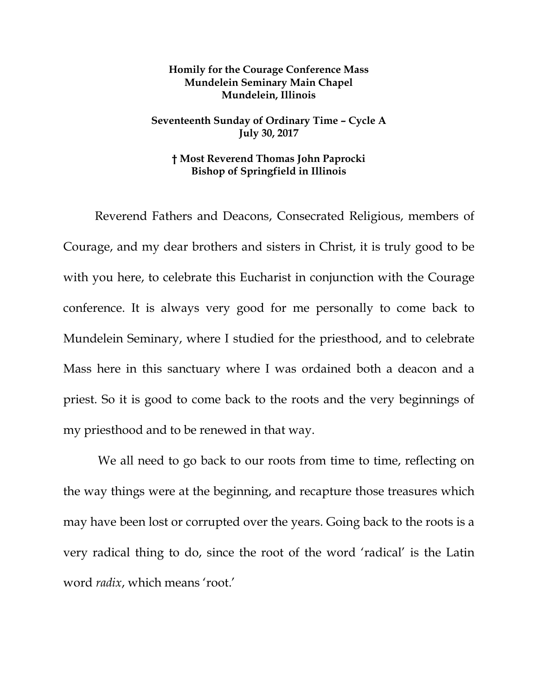## **Homily for the Courage Conference Mass Mundelein Seminary Main Chapel Mundelein, Illinois**

## **Seventeenth Sunday of Ordinary Time – Cycle A July 30, 2017**

## **† Most Reverend Thomas John Paprocki Bishop of Springfield in Illinois**

Reverend Fathers and Deacons, Consecrated Religious, members of Courage, and my dear brothers and sisters in Christ, it is truly good to be with you here, to celebrate this Eucharist in conjunction with the Courage conference. It is always very good for me personally to come back to Mundelein Seminary, where I studied for the priesthood, and to celebrate Mass here in this sanctuary where I was ordained both a deacon and a priest. So it is good to come back to the roots and the very beginnings of my priesthood and to be renewed in that way.

We all need to go back to our roots from time to time, reflecting on the way things were at the beginning, and recapture those treasures which may have been lost or corrupted over the years. Going back to the roots is a very radical thing to do, since the root of the word 'radical' is the Latin word *radix*, which means 'root.'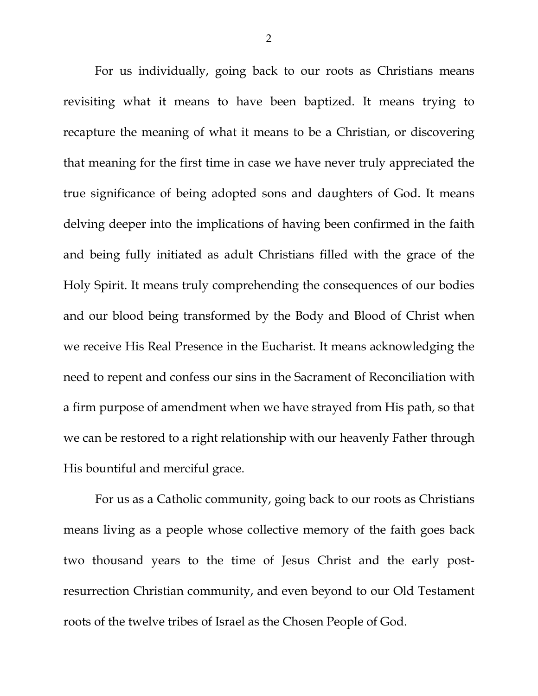For us individually, going back to our roots as Christians means revisiting what it means to have been baptized. It means trying to recapture the meaning of what it means to be a Christian, or discovering that meaning for the first time in case we have never truly appreciated the true significance of being adopted sons and daughters of God. It means delving deeper into the implications of having been confirmed in the faith and being fully initiated as adult Christians filled with the grace of the Holy Spirit. It means truly comprehending the consequences of our bodies and our blood being transformed by the Body and Blood of Christ when we receive His Real Presence in the Eucharist. It means acknowledging the need to repent and confess our sins in the Sacrament of Reconciliation with a firm purpose of amendment when we have strayed from His path, so that we can be restored to a right relationship with our heavenly Father through His bountiful and merciful grace.

For us as a Catholic community, going back to our roots as Christians means living as a people whose collective memory of the faith goes back two thousand years to the time of Jesus Christ and the early postresurrection Christian community, and even beyond to our Old Testament roots of the twelve tribes of Israel as the Chosen People of God.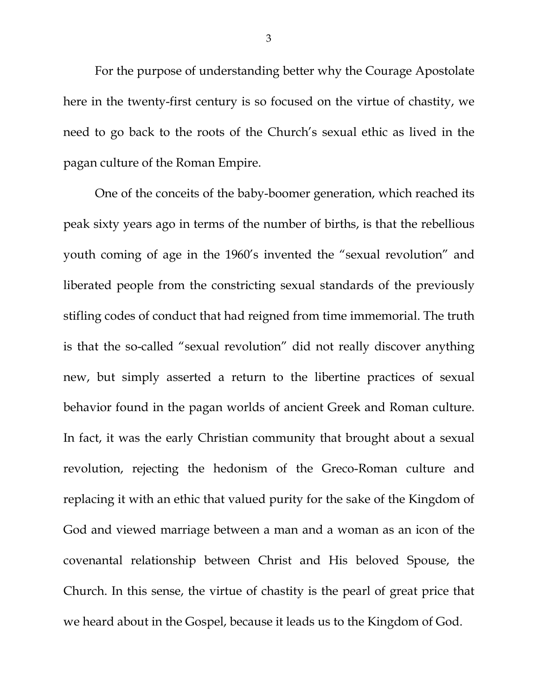For the purpose of understanding better why the Courage Apostolate here in the twenty-first century is so focused on the virtue of chastity, we need to go back to the roots of the Church's sexual ethic as lived in the pagan culture of the Roman Empire.

One of the conceits of the baby-boomer generation, which reached its peak sixty years ago in terms of the number of births, is that the rebellious youth coming of age in the 1960's invented the "sexual revolution" and liberated people from the constricting sexual standards of the previously stifling codes of conduct that had reigned from time immemorial. The truth is that the so-called "sexual revolution" did not really discover anything new, but simply asserted a return to the libertine practices of sexual behavior found in the pagan worlds of ancient Greek and Roman culture. In fact, it was the early Christian community that brought about a sexual revolution, rejecting the hedonism of the Greco-Roman culture and replacing it with an ethic that valued purity for the sake of the Kingdom of God and viewed marriage between a man and a woman as an icon of the covenantal relationship between Christ and His beloved Spouse, the Church. In this sense, the virtue of chastity is the pearl of great price that we heard about in the Gospel, because it leads us to the Kingdom of God.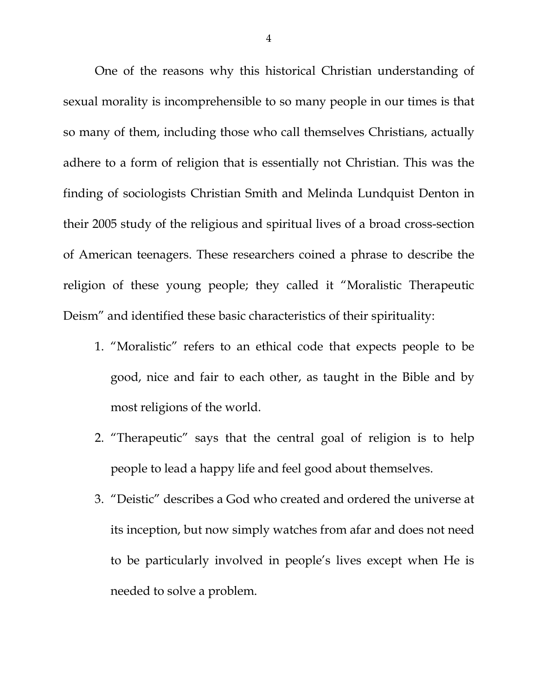One of the reasons why this historical Christian understanding of sexual morality is incomprehensible to so many people in our times is that so many of them, including those who call themselves Christians, actually adhere to a form of religion that is essentially not Christian. This was the finding of sociologists Christian Smith and Melinda Lundquist Denton in their 2005 study of the religious and spiritual lives of a broad cross-section of American teenagers. These researchers coined a phrase to describe the religion of these young people; they called it "Moralistic Therapeutic Deism" and identified these basic characteristics of their spirituality:

- 1. "Moralistic" refers to an ethical code that expects people to be good, nice and fair to each other, as taught in the Bible and by most religions of the world.
- 2. "Therapeutic" says that the central goal of religion is to help people to lead a happy life and feel good about themselves.
- 3. "Deistic" describes a God who created and ordered the universe at its inception, but now simply watches from afar and does not need to be particularly involved in people's lives except when He is needed to solve a problem.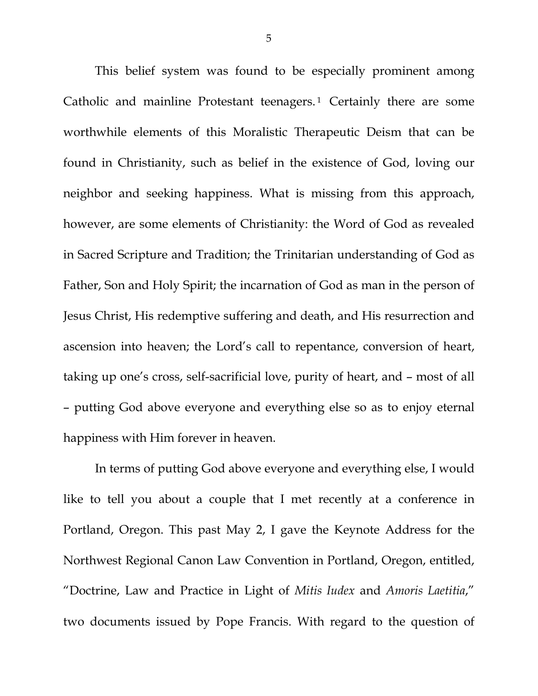This belief system was found to be especially prominent among Catholic and mainline Protestant teenagers.<sup>[1](#page-8-0)</sup> Certainly there are some worthwhile elements of this Moralistic Therapeutic Deism that can be found in Christianity, such as belief in the existence of God, loving our neighbor and seeking happiness. What is missing from this approach, however, are some elements of Christianity: the Word of God as revealed in Sacred Scripture and Tradition; the Trinitarian understanding of God as Father, Son and Holy Spirit; the incarnation of God as man in the person of Jesus Christ, His redemptive suffering and death, and His resurrection and ascension into heaven; the Lord's call to repentance, conversion of heart, taking up one's cross, self-sacrificial love, purity of heart, and – most of all – putting God above everyone and everything else so as to enjoy eternal happiness with Him forever in heaven.

In terms of putting God above everyone and everything else, I would like to tell you about a couple that I met recently at a conference in Portland, Oregon. This past May 2, I gave the Keynote Address for the Northwest Regional Canon Law Convention in Portland, Oregon, entitled, "Doctrine, Law and Practice in Light of *Mitis Iudex* and *Amoris Laetitia*," two documents issued by Pope Francis. With regard to the question of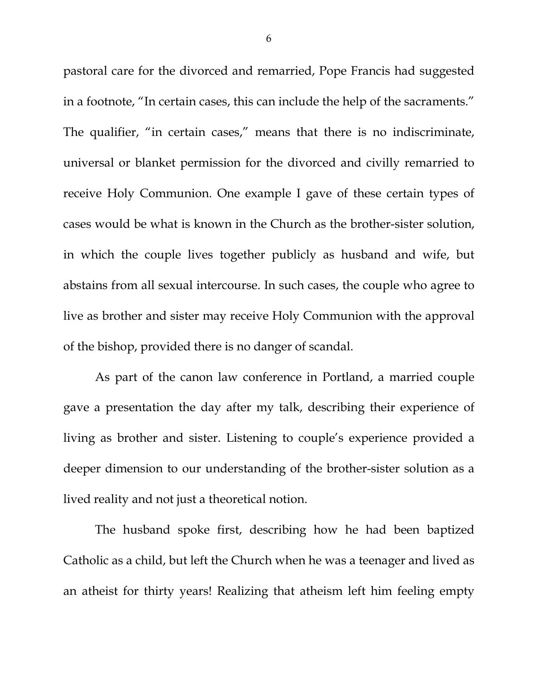pastoral care for the divorced and remarried, Pope Francis had suggested in a footnote, "In certain cases, this can include the help of the sacraments." The qualifier, "in certain cases," means that there is no indiscriminate, universal or blanket permission for the divorced and civilly remarried to receive Holy Communion. One example I gave of these certain types of cases would be what is known in the Church as the brother-sister solution, in which the couple lives together publicly as husband and wife, but abstains from all sexual intercourse. In such cases, the couple who agree to live as brother and sister may receive Holy Communion with the approval of the bishop, provided there is no danger of scandal.

As part of the canon law conference in Portland, a married couple gave a presentation the day after my talk, describing their experience of living as brother and sister. Listening to couple's experience provided a deeper dimension to our understanding of the brother-sister solution as a lived reality and not just a theoretical notion.

The husband spoke first, describing how he had been baptized Catholic as a child, but left the Church when he was a teenager and lived as an atheist for thirty years! Realizing that atheism left him feeling empty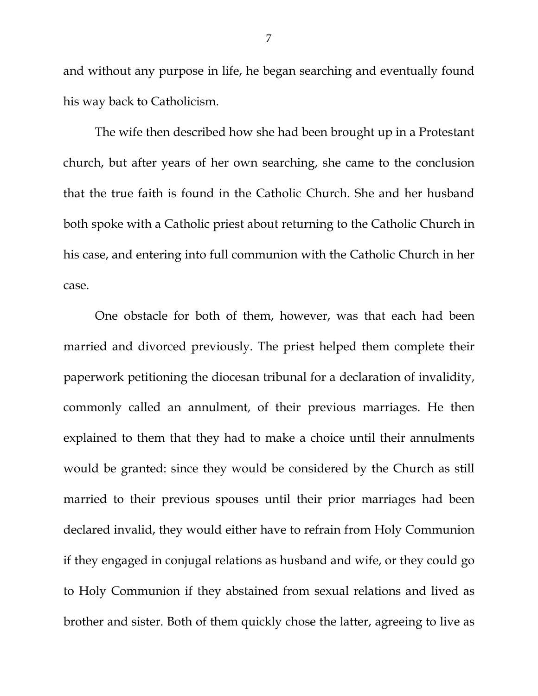and without any purpose in life, he began searching and eventually found his way back to Catholicism.

The wife then described how she had been brought up in a Protestant church, but after years of her own searching, she came to the conclusion that the true faith is found in the Catholic Church. She and her husband both spoke with a Catholic priest about returning to the Catholic Church in his case, and entering into full communion with the Catholic Church in her case.

One obstacle for both of them, however, was that each had been married and divorced previously. The priest helped them complete their paperwork petitioning the diocesan tribunal for a declaration of invalidity, commonly called an annulment, of their previous marriages. He then explained to them that they had to make a choice until their annulments would be granted: since they would be considered by the Church as still married to their previous spouses until their prior marriages had been declared invalid, they would either have to refrain from Holy Communion if they engaged in conjugal relations as husband and wife, or they could go to Holy Communion if they abstained from sexual relations and lived as brother and sister. Both of them quickly chose the latter, agreeing to live as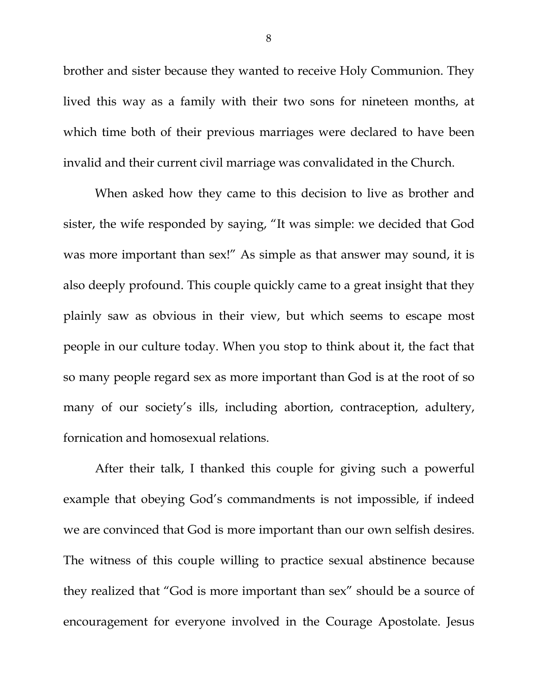brother and sister because they wanted to receive Holy Communion. They lived this way as a family with their two sons for nineteen months, at which time both of their previous marriages were declared to have been invalid and their current civil marriage was convalidated in the Church.

When asked how they came to this decision to live as brother and sister, the wife responded by saying, "It was simple: we decided that God was more important than sex!" As simple as that answer may sound, it is also deeply profound. This couple quickly came to a great insight that they plainly saw as obvious in their view, but which seems to escape most people in our culture today. When you stop to think about it, the fact that so many people regard sex as more important than God is at the root of so many of our society's ills, including abortion, contraception, adultery, fornication and homosexual relations.

After their talk, I thanked this couple for giving such a powerful example that obeying God's commandments is not impossible, if indeed we are convinced that God is more important than our own selfish desires. The witness of this couple willing to practice sexual abstinence because they realized that "God is more important than sex" should be a source of encouragement for everyone involved in the Courage Apostolate. Jesus